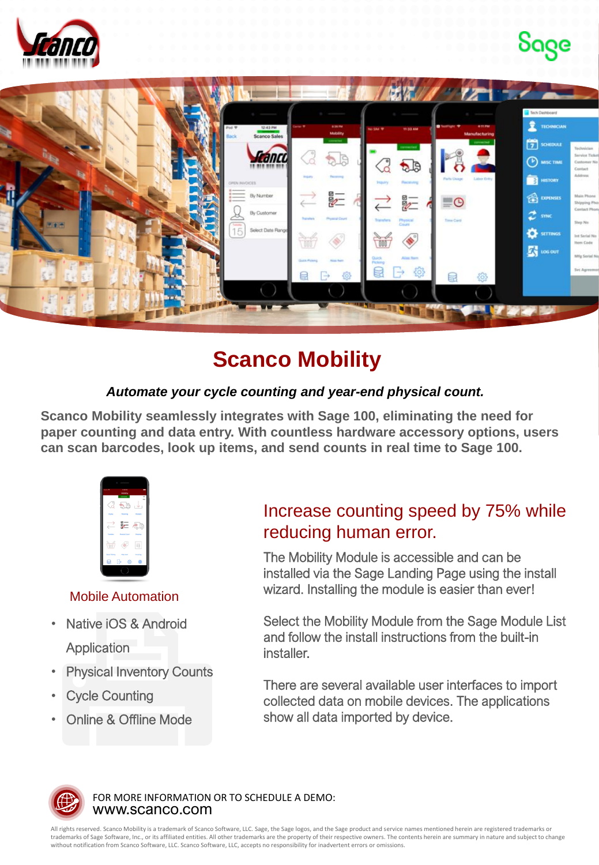





## **Scanco Mobility**

## *Automate your cycle counting and year-end physical count.*

**Scanco Mobility seamlessly integrates with Sage 100, eliminating the need for paper counting and data entry. With countless hardware accessory options, users can scan barcodes, look up items, and send counts in real time to Sage 100.**



## Mobile Automation

- Native iOS & Android **Application**
- **Physical Inventory Counts**
- **Cycle Counting**
- Online & Offline Mode

## Increase counting speed by 75% while reducing human error.

The Mobility Module is accessible and can be installed via the Sage Landing Page using the install wizard. Installing the module is easier than ever!

Select the Mobility Module from the Sage Module List and follow the install instructions from the built-in installer.

There are several available user interfaces to import collected data on mobile devices. The applications show all data imported by device.



www.scanco.com FOR MORE INFORMATION OR TO SCHEDULE A DEMO:

All rights reserved. Scanco Mobility is a trademark of Scanco Software, LLC. Sage, the Sage logos, and the Sage product and service names mentioned herein are registered trademarks or trademarks of Sage Software, Inc., or its affiliated entities. All other trademarks are the property of their respective owners. The contents herein are summary in nature and subject to change without notification from Scanco Software, LLC. Scanco Software, LLC, accepts no responsibility for inadvertent errors or omissions.